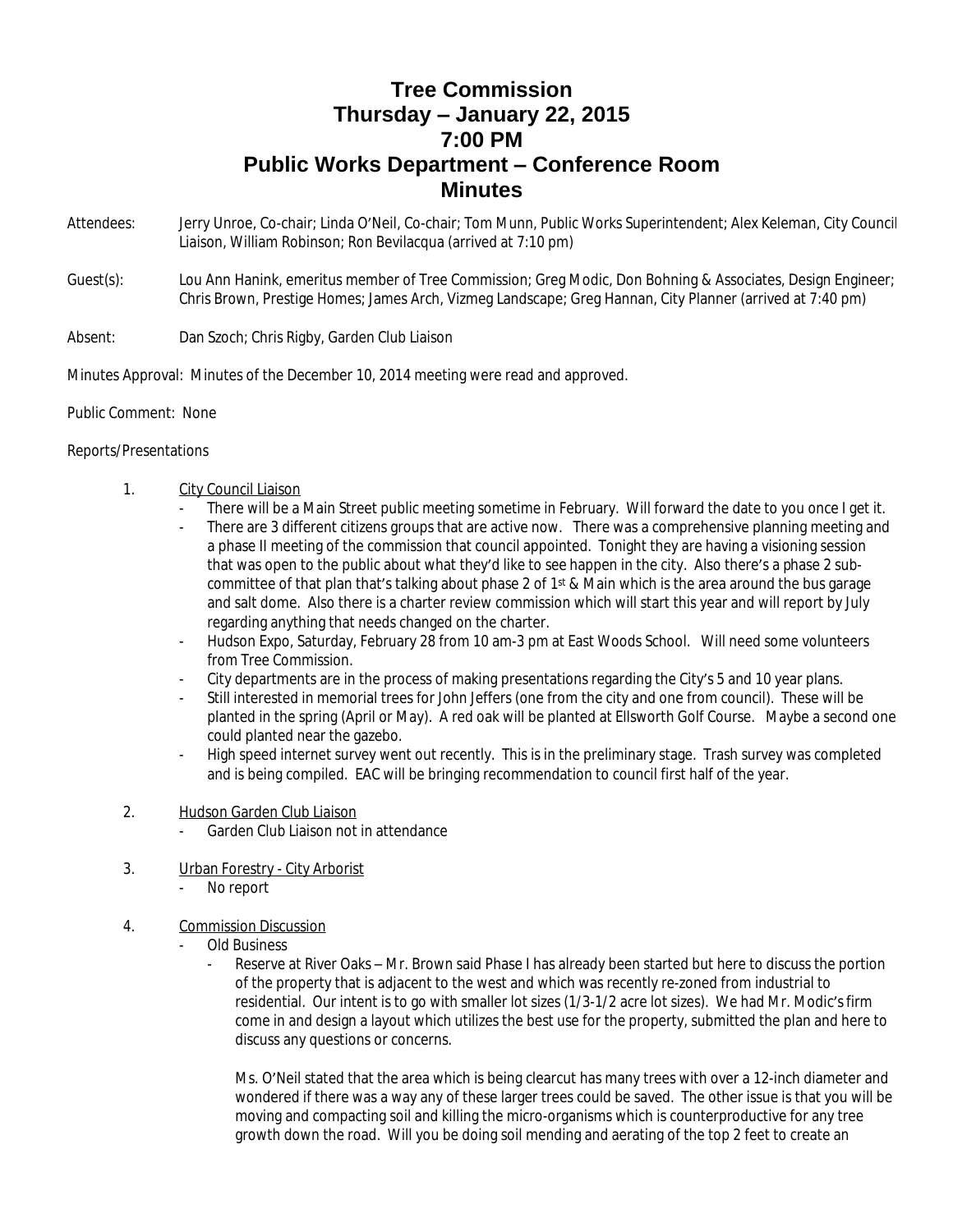## **Tree Commission Thursday – January 22, 2015 7:00 PM Public Works Department – Conference Room Minutes**

- Attendees: Jerry Unroe, Co-chair; Linda O'Neil, Co-chair; Tom Munn, Public Works Superintendent; Alex Keleman, City Council Liaison, William Robinson; Ron Bevilacqua (arrived at 7:10 pm)
- Guest(s): Lou Ann Hanink, emeritus member of Tree Commission; Greg Modic, Don Bohning & Associates, Design Engineer; Chris Brown, Prestige Homes; James Arch, Vizmeg Landscape; Greg Hannan, City Planner (arrived at 7:40 pm)

## Absent: Dan Szoch; Chris Rigby, Garden Club Liaison

Minutes Approval: Minutes of the December 10, 2014 meeting were read and approved.

Public Comment: None

## Reports/Presentations

- 1. City Council Liaison
	- There will be a Main Street public meeting sometime in February. Will forward the date to you once I get it.
	- There are 3 different citizens groups that are active now. There was a comprehensive planning meeting and a phase II meeting of the commission that council appointed. Tonight they are having a visioning session that was open to the public about what they'd like to see happen in the city. Also there's a phase 2 subcommittee of that plan that's talking about phase 2 of 1<sup>st</sup> & Main which is the area around the bus garage and salt dome. Also there is a charter review commission which will start this year and will report by July regarding anything that needs changed on the charter.
	- Hudson Expo, Saturday, February 28 from 10 am-3 pm at East Woods School. Will need some volunteers from Tree Commission.
	- City departments are in the process of making presentations regarding the City's 5 and 10 year plans.
	- Still interested in memorial trees for John Jeffers (one from the city and one from council). These will be planted in the spring (April or May). A red oak will be planted at Ellsworth Golf Course. Maybe a second one could planted near the gazebo.
	- High speed internet survey went out recently. This is in the preliminary stage. Trash survey was completed and is being compiled. EAC will be bringing recommendation to council first half of the year.
- 2. Hudson Garden Club Liaison
	- Garden Club Liaison not in attendance
- 3. Urban Forestry City Arborist
	- No report
- 4. Commission Discussion
	- Old Business
		- Reserve at River Oaks Mr. Brown said Phase I has already been started but here to discuss the portion of the property that is adjacent to the west and which was recently re-zoned from industrial to residential. Our intent is to go with smaller lot sizes (1/3-1/2 acre lot sizes). We had Mr. Modic's firm come in and design a layout which utilizes the best use for the property, submitted the plan and here to discuss any questions or concerns.

Ms. O'Neil stated that the area which is being clearcut has many trees with over a 12-inch diameter and wondered if there was a way any of these larger trees could be saved. The other issue is that you will be moving and compacting soil and killing the micro-organisms which is counterproductive for any tree growth down the road. Will you be doing soil mending and aerating of the top 2 feet to create an